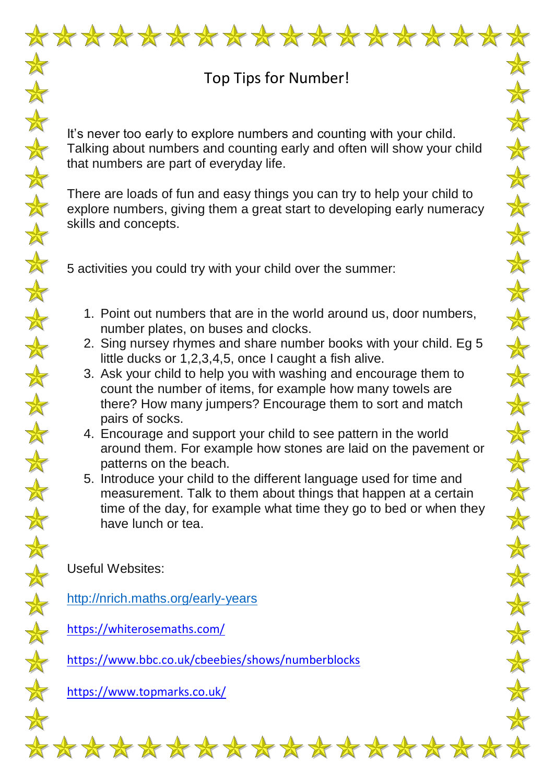

 $\frac{1}{N}$ 

 $\bigstar$ 

 $\color{red} \bigstar$ 

 $\frac{1}{N}$ 

 $\frac{1}{N}$ 

 $\frac{1}{N}$ 

 $\frac{1}{N}$ 

 $\frac{1}{N}$ 

大女

 $\frac{1}{\sqrt{2}}$ 

 $\frac{1}{N}$ 

 $\frac{1}{N}$ 

\*\*\*\*

 $\frac{1}{N}$ 

 $\mathbf{\hat{A}}$ 

 $\color{red} \bigstar$ 

 $\frac{1}{N}$ 

 $\frac{\lambda}{N}$ 

 $\color{red} \bigstar$ 

 $\frac{1}{N}$ 

## Top Tips for Number!

It's never too early to explore numbers and counting with your child. Talking about numbers and counting early and often will show your child that numbers are part of everyday life.

There are loads of fun and easy things you can try to help your child to explore numbers, giving them a great start to developing early numeracy skills and concepts.

5 activities you could try with your child over the summer:

- 1. Point out numbers that are in the world around us, door numbers, number plates, on buses and clocks.
- 2. Sing nursey rhymes and share number books with your child. Eg 5 little ducks or 1,2,3,4,5, once I caught a fish alive.
- 3. Ask your child to help you with washing and encourage them to count the number of items, for example how many towels are there? How many jumpers? Encourage them to sort and match pairs of socks.
- 4. Encourage and support your child to see pattern in the world around them. For example how stones are laid on the pavement or patterns on the beach.
- 5. Introduce your child to the different language used for time and measurement. Talk to them about things that happen at a certain time of the day, for example what time they go to bed or when they have lunch or tea.

Useful Websites:

<http://nrich.maths.org/early-years>

<https://whiterosemaths.com/>

<https://www.bbc.co.uk/cbeebies/shows/numberblocks>

<https://www.topmarks.co.uk/>